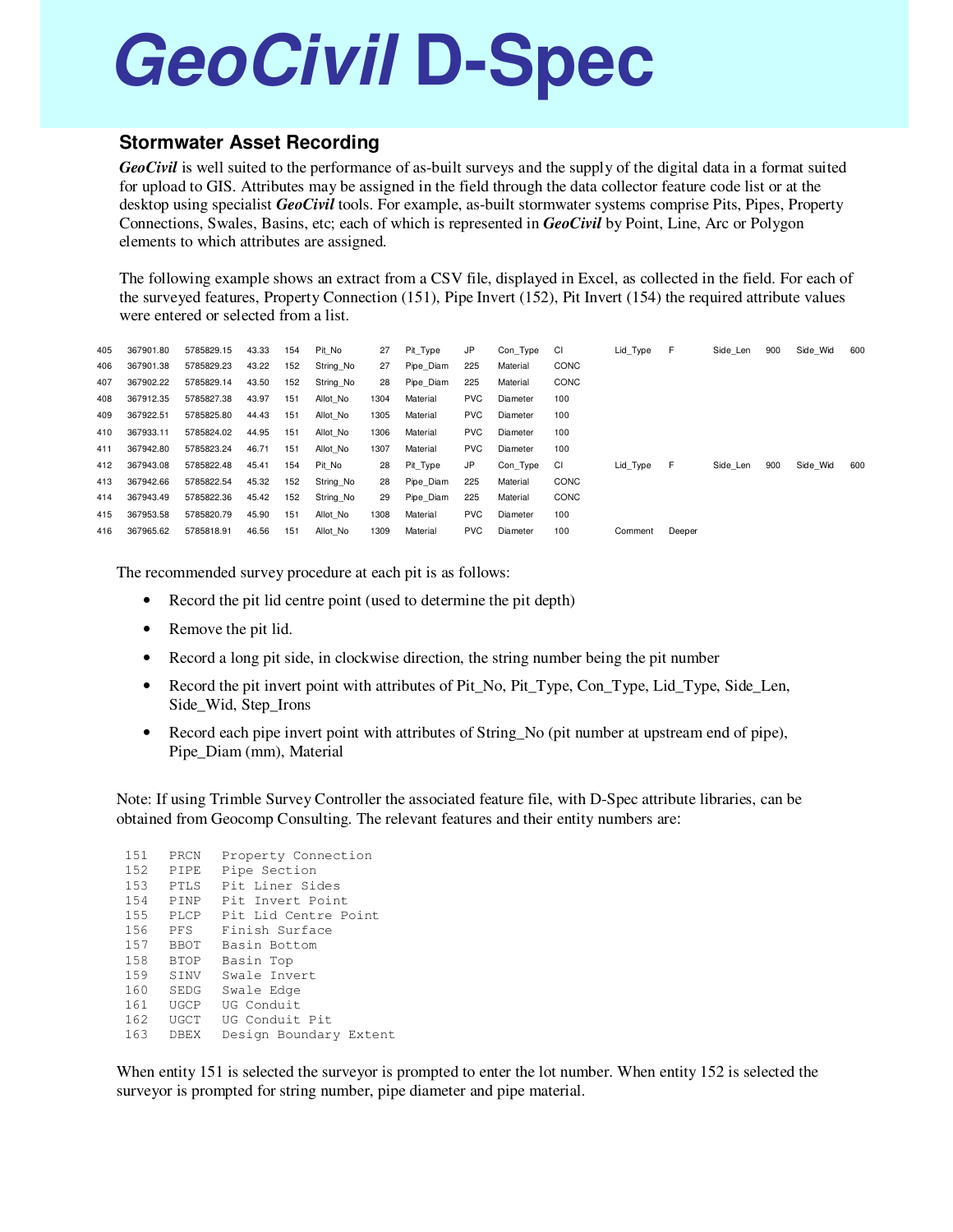## **GeoCivil D-Spec**

## **Stormwater Asset Recording**

*GeoCivil* is well suited to the performance of as-built surveys and the supply of the digital data in a format suited for upload to GIS. Attributes may be assigned in the field through the data collector feature code list or at the desktop using specialist *GeoCivil* tools. For example, as-built stormwater systems comprise Pits, Pipes, Property Connections, Swales, Basins, etc; each of which is represented in *GeoCivil* by Point, Line, Arc or Polygon elements to which attributes are assigned.

The following example shows an extract from a CSV file, displayed in Excel, as collected in the field. For each of the surveyed features, Property Connection (151), Pipe Invert (152), Pit Invert (154) the required attribute values were entered or selected from a list.

| 405 | 367901.80 | 5785829.15 | 43.33 | 154 | Pit No    | 27   | Pit_Type  | JP         | Con Type | CI   | Lid Type | F.     | Side Len | 900 | Side Wid | 600 |
|-----|-----------|------------|-------|-----|-----------|------|-----------|------------|----------|------|----------|--------|----------|-----|----------|-----|
| 406 | 367901.38 | 5785829.23 | 43.22 | 152 | String No | 27   | Pipe Diam | 225        | Material | CONC |          |        |          |     |          |     |
| 407 | 367902.22 | 5785829.14 | 43.50 | 152 | String No | 28   | Pipe Diam | 225        | Material | CONC |          |        |          |     |          |     |
| 408 | 367912.35 | 5785827.38 | 43.97 | 151 | Allot No  | 1304 | Material  | <b>PVC</b> | Diameter | 100  |          |        |          |     |          |     |
| 409 | 367922.51 | 5785825.80 | 44.43 | 151 | Allot No  | 1305 | Material  | <b>PVC</b> | Diameter | 100  |          |        |          |     |          |     |
| 410 | 367933.11 | 5785824.02 | 44.95 | 151 | Allot No  | 1306 | Material  | <b>PVC</b> | Diameter | 100  |          |        |          |     |          |     |
| 411 | 367942.80 | 5785823.24 | 46.71 | 151 | Allot No  | 1307 | Material  | <b>PVC</b> | Diameter | 100  |          |        |          |     |          |     |
| 412 | 367943.08 | 5785822.48 | 45.41 | 154 | Pit No    | 28   | Pit Type  | JP         | Con Type | CI   | Lid Type | F.     | Side Len | 900 | Side Wid | 600 |
| 413 | 367942.66 | 5785822.54 | 45.32 | 152 | String No | 28   | Pipe Diam | 225        | Material | CONC |          |        |          |     |          |     |
| 414 | 367943.49 | 5785822.36 | 45.42 | 152 | String No | 29   | Pipe Diam | 225        | Material | CONC |          |        |          |     |          |     |
| 415 | 367953.58 | 5785820.79 | 45.90 | 151 | Allot No  | 1308 | Material  | <b>PVC</b> | Diameter | 100  |          |        |          |     |          |     |
| 416 | 367965.62 | 5785818.91 | 46.56 | 151 | Allot No  | 1309 | Material  | <b>PVC</b> | Diameter | 100  | Comment  | Deeper |          |     |          |     |
|     |           |            |       |     |           |      |           |            |          |      |          |        |          |     |          |     |

The recommended survey procedure at each pit is as follows:

- Record the pit lid centre point (used to determine the pit depth)
- Remove the pit lid.
- Record a long pit side, in clockwise direction, the string number being the pit number
- Record the pit invert point with attributes of Pit\_No, Pit\_Type, Con\_Type, Lid\_Type, Side\_Len, Side\_Wid, Step\_Irons
- Record each pipe invert point with attributes of String\_No (pit number at upstream end of pipe), Pipe\_Diam (mm), Material

Note: If using Trimble Survey Controller the associated feature file, with D-Spec attribute libraries, can be obtained from Geocomp Consulting. The relevant features and their entity numbers are:

| 151     | PRCN        | Property Connection    |
|---------|-------------|------------------------|
| 152.    | <b>PTPE</b> | Pipe Section           |
| $153 -$ | PTLS        | Pit Liner Sides        |
| 154     | <b>PTNP</b> | Pit. Invert. Point.    |
| 155     | PLCP        | Pit Lid Centre Point   |
| 156     | PFS         | Finish Surface         |
| 157     | <b>BBOT</b> | Basin Bottom           |
| 158     | <b>BTOP</b> | Basin Top              |
| 159     | <b>STNV</b> | Swale Invert           |
| 160     | SEDG        | Swale Edge             |
| 161     | UGCP        | UG Conduit             |
| 162     | UGCT        | UG Conduit Pit         |
| 163     | <b>DBEX</b> | Design Boundary Extent |

When entity 151 is selected the surveyor is prompted to enter the lot number. When entity 152 is selected the surveyor is prompted for string number, pipe diameter and pipe material.